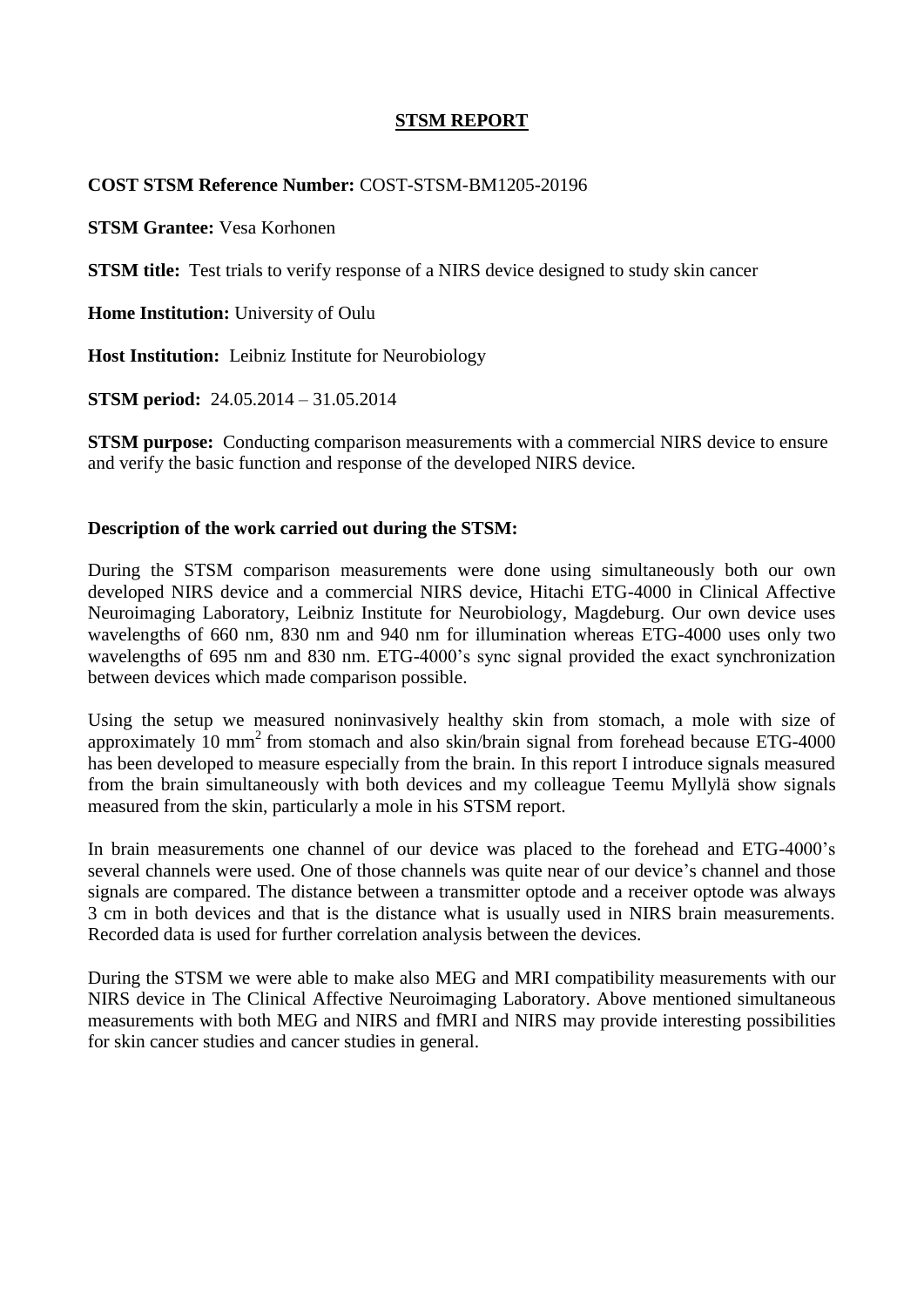# **STSM REPORT**

### **COST STSM Reference Number:** COST-STSM-BM1205-20196

**STSM Grantee:** Vesa Korhonen

**STSM title:** Test trials to verify response of a NIRS device designed to study skin cancer

**Home Institution:** University of Oulu

**Host Institution:** Leibniz Institute for Neurobiology

**STSM period:** 24.05.2014 – 31.05.2014

**STSM purpose:** Conducting comparison measurements with a commercial NIRS device to ensure and verify the basic function and response of the developed NIRS device.

## **Description of the work carried out during the STSM:**

During the STSM comparison measurements were done using simultaneously both our own developed NIRS device and a commercial NIRS device, Hitachi ETG-4000 in Clinical Affective Neuroimaging Laboratory, Leibniz Institute for Neurobiology, Magdeburg. Our own device uses wavelengths of 660 nm, 830 nm and 940 nm for illumination whereas ETG-4000 uses only two wavelengths of 695 nm and 830 nm. ETG-4000's sync signal provided the exact synchronization between devices which made comparison possible.

Using the setup we measured noninvasively healthy skin from stomach, a mole with size of approximately  $10 \text{ mm}^2$  from stomach and also skin/brain signal from forehead because ETG-4000 has been developed to measure especially from the brain. In this report I introduce signals measured from the brain simultaneously with both devices and my colleague Teemu Myllylä show signals measured from the skin, particularly a mole in his STSM report.

In brain measurements one channel of our device was placed to the forehead and ETG-4000's several channels were used. One of those channels was quite near of our device's channel and those signals are compared. The distance between a transmitter optode and a receiver optode was always 3 cm in both devices and that is the distance what is usually used in NIRS brain measurements. Recorded data is used for further correlation analysis between the devices.

During the STSM we were able to make also MEG and MRI compatibility measurements with our NIRS device in The Clinical Affective Neuroimaging Laboratory. Above mentioned simultaneous measurements with both MEG and NIRS and fMRI and NIRS may provide interesting possibilities for skin cancer studies and cancer studies in general.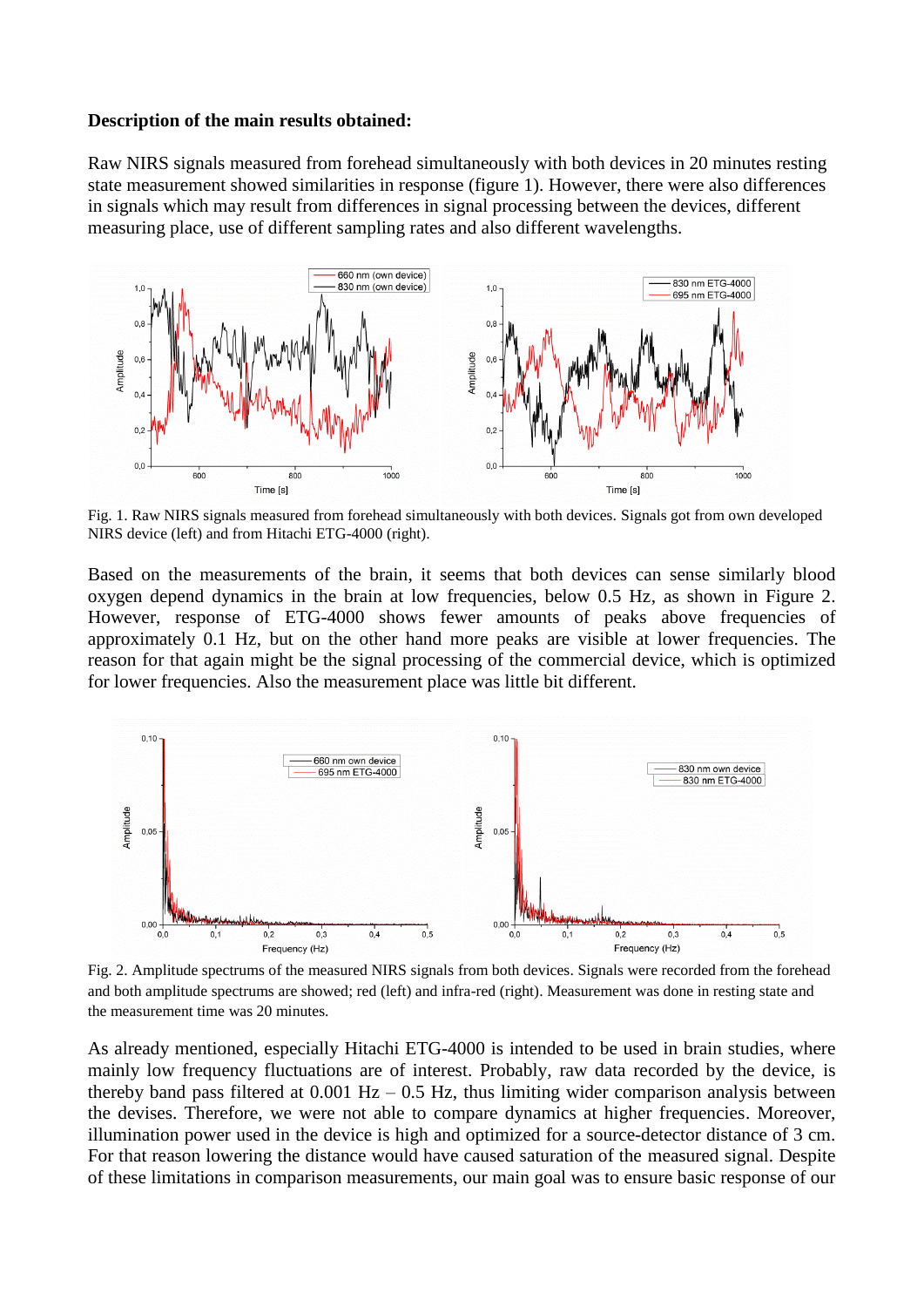#### **Description of the main results obtained:**

Raw NIRS signals measured from forehead simultaneously with both devices in 20 minutes resting state measurement showed similarities in response (figure 1). However, there were also differences in signals which may result from differences in signal processing between the devices, different measuring place, use of different sampling rates and also different wavelengths.



Fig. 1. Raw NIRS signals measured from forehead simultaneously with both devices. Signals got from own developed NIRS device (left) and from Hitachi ETG-4000 (right).

Based on the measurements of the brain, it seems that both devices can sense similarly blood oxygen depend dynamics in the brain at low frequencies, below 0.5 Hz, as shown in Figure 2. However, response of ETG-4000 shows fewer amounts of peaks above frequencies of approximately 0.1 Hz, but on the other hand more peaks are visible at lower frequencies. The reason for that again might be the signal processing of the commercial device, which is optimized for lower frequencies. Also the measurement place was little bit different.



Fig. 2. Amplitude spectrums of the measured NIRS signals from both devices. Signals were recorded from the forehead and both amplitude spectrums are showed; red (left) and infra-red (right). Measurement was done in resting state and the measurement time was 20 minutes.

As already mentioned, especially Hitachi ETG-4000 is intended to be used in brain studies, where mainly low frequency fluctuations are of interest. Probably, raw data recorded by the device, is thereby band pass filtered at  $0.001$  Hz –  $0.5$  Hz, thus limiting wider comparison analysis between the devises. Therefore, we were not able to compare dynamics at higher frequencies. Moreover, illumination power used in the device is high and optimized for a source-detector distance of 3 cm. For that reason lowering the distance would have caused saturation of the measured signal. Despite of these limitations in comparison measurements, our main goal was to ensure basic response of our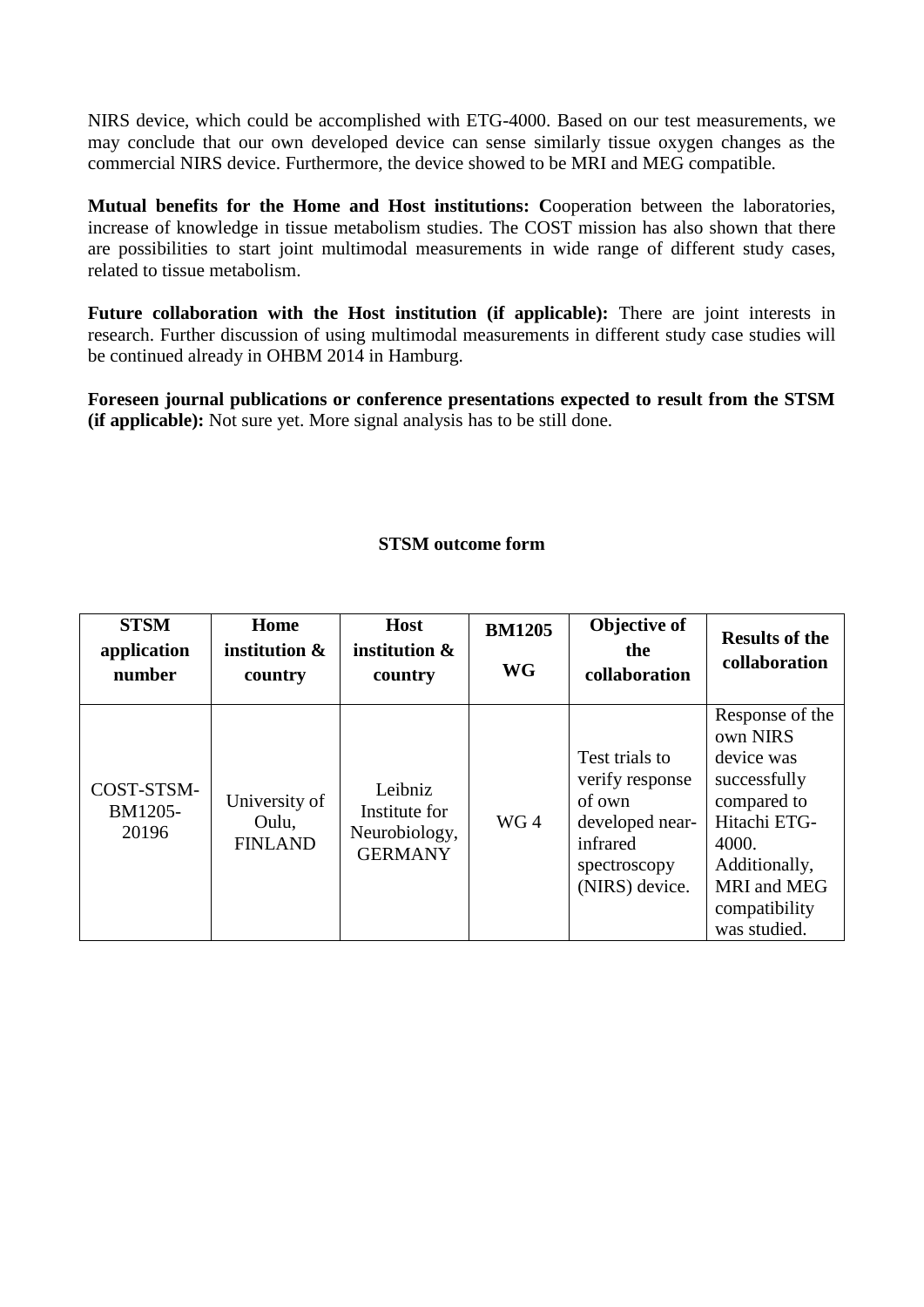NIRS device, which could be accomplished with ETG-4000. Based on our test measurements, we may conclude that our own developed device can sense similarly tissue oxygen changes as the commercial NIRS device. Furthermore, the device showed to be MRI and MEG compatible.

**Mutual benefits for the Home and Host institutions: C**ooperation between the laboratories, increase of knowledge in tissue metabolism studies. The COST mission has also shown that there are possibilities to start joint multimodal measurements in wide range of different study cases, related to tissue metabolism.

**Future collaboration with the Host institution (if applicable):** There are joint interests in research. Further discussion of using multimodal measurements in different study case studies will be continued already in OHBM 2014 in Hamburg.

**Foreseen journal publications or conference presentations expected to result from the STSM (if applicable):** Not sure yet. More signal analysis has to be still done.

# **STSM outcome form**

| <b>STSM</b><br>application<br>number | Home<br>institution &<br>country         | Host<br>institution &<br>country                            | <b>BM1205</b><br><b>WG</b> | Objective of<br>the<br>collaboration                                                                         | <b>Results of the</b><br>collaboration                                                                                                                                    |
|--------------------------------------|------------------------------------------|-------------------------------------------------------------|----------------------------|--------------------------------------------------------------------------------------------------------------|---------------------------------------------------------------------------------------------------------------------------------------------------------------------------|
| COST-STSM-<br>BM1205-<br>20196       | University of<br>Oulu,<br><b>FINLAND</b> | Leibniz<br>Institute for<br>Neurobiology,<br><b>GERMANY</b> | WG4                        | Test trials to<br>verify response<br>of own<br>developed near-<br>infrared<br>spectroscopy<br>(NIRS) device. | Response of the<br>own NIRS<br>device was<br>successfully<br>compared to<br>Hitachi ETG-<br>4000.<br>Additionally,<br><b>MRI</b> and MEG<br>compatibility<br>was studied. |